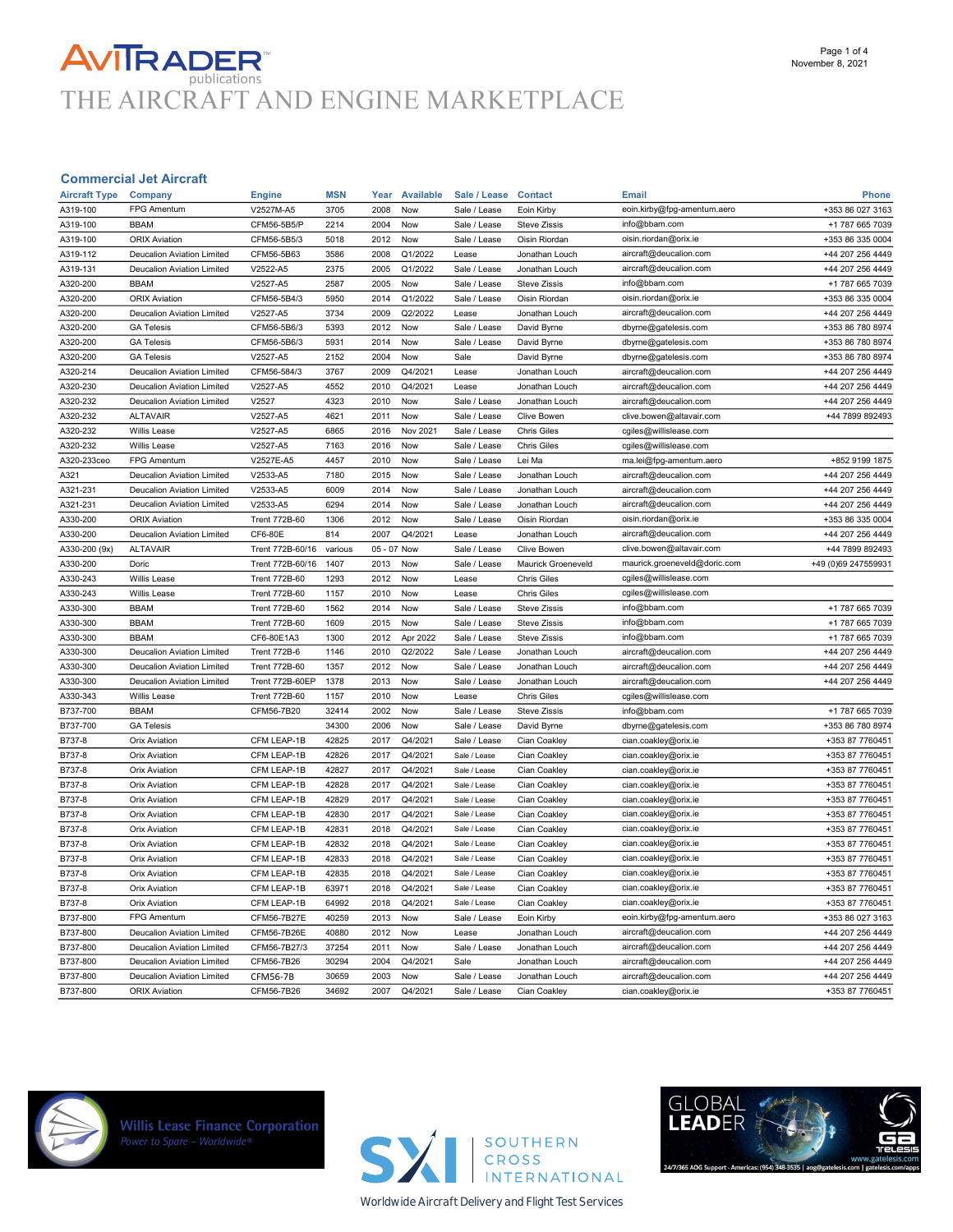# **AVITRADER**<br>THE AIRCRAFT AND ENGINE MARKETPLACE

#### Commercial Jet Aircraft

| <b>Aircraft Type</b> | Company                           | <b>Engine</b>        | <b>MSN</b> | Year         | <b>Available</b> | Sale / Lease | <b>Contact</b>      | <b>Email</b>                                           | Phone               |
|----------------------|-----------------------------------|----------------------|------------|--------------|------------------|--------------|---------------------|--------------------------------------------------------|---------------------|
| A319-100             | FPG Amentum                       | V2527M-A5            | 3705       | 2008         | Now              | Sale / Lease | Eoin Kirby          | eoin.kirby@fpg-amentum.aero                            | +353 86 027 3163    |
| A319-100             | <b>BBAM</b>                       | CFM56-5B5/P          | 2214       | 2004         | Now              | Sale / Lease | <b>Steve Zissis</b> | info@bbam.com                                          | +1 787 665 7039     |
| A319-100             | <b>ORIX Aviation</b>              | CFM56-5B5/3          | 5018       | 2012         | Now              | Sale / Lease | Oisin Riordan       | oisin.riordan@orix.ie                                  | +353 86 335 0004    |
| A319-112             | <b>Deucalion Aviation Limited</b> | CFM56-5B63           | 3586       | 2008         | Q1/2022          | Lease        | Jonathan Louch      | aircraft@deucalion.com                                 | +44 207 256 4449    |
| A319-131             | Deucalion Aviation Limited        | V2522-A5             | 2375       | 2005         | Q1/2022          | Sale / Lease | Jonathan Louch      | aircraft@deucalion.com                                 | +44 207 256 4449    |
| A320-200             | <b>BBAM</b>                       | V2527-A5             | 2587       | 2005         | Now              | Sale / Lease | Steve Zissis        | info@bbam.com                                          | +1 787 665 7039     |
| A320-200             | <b>ORIX Aviation</b>              | CFM56-5B4/3          | 5950       | 2014         | Q1/2022          | Sale / Lease | Oisin Riordan       | oisin.riordan@orix.ie                                  | +353 86 335 0004    |
| A320-200             | <b>Deucalion Aviation Limited</b> | V2527-A5             | 3734       | 2009         | Q2/2022          | Lease        | Jonathan Louch      | aircraft@deucalion.com                                 | +44 207 256 4449    |
| A320-200             | <b>GA Telesis</b>                 | CFM56-5B6/3          | 5393       | 2012         | Now              | Sale / Lease | David Byrne         | dbyrne@gatelesis.com                                   | +353 86 780 8974    |
| A320-200             | <b>GA Telesis</b>                 | CFM56-5B6/3          | 5931       | 2014         | Now              | Sale / Lease | David Byrne         | dbyrne@gatelesis.com                                   | +353 86 780 8974    |
| A320-200             | <b>GA Telesis</b>                 | V2527-A5             | 2152       | 2004         | Now              | Sale         | David Byrne         | dbyrne@gatelesis.com                                   | +353 86 780 8974    |
| A320-214             | <b>Deucalion Aviation Limited</b> | CFM56-584/3          | 3767       | 2009         | Q4/2021          | Lease        | Jonathan Louch      | aircraft@deucalion.com                                 | +44 207 256 4449    |
| A320-230             | Deucalion Aviation Limited        | V2527-A5             | 4552       | 2010         | Q4/2021          | Lease        | Jonathan Louch      | aircraft@deucalion.com                                 | +44 207 256 4449    |
| A320-232             | <b>Deucalion Aviation Limited</b> | V2527                | 4323       | 2010         | Now              | Sale / Lease | Jonathan Louch      | aircraft@deucalion.com                                 | +44 207 256 4449    |
| A320-232             | <b>ALTAVAIR</b>                   | V2527-A5             | 4621       | 2011         | Now              | Sale / Lease | <b>Clive Bowen</b>  | clive.bowen@altavair.com                               | +44 7899 892493     |
| A320-232             | Willis Lease                      | V2527-A5             | 6865       | 2016         | Nov 2021         | Sale / Lease | <b>Chris Giles</b>  | cgiles@willislease.com                                 |                     |
| A320-232             | Willis Lease                      | V2527-A5             | 7163       | 2016         | Now              | Sale / Lease | <b>Chris Giles</b>  | cgiles@willislease.com                                 |                     |
| A320-233ceo          | FPG Amentum                       | V2527E-A5            | 4457       | 2010         | Now              | Sale / Lease | Lei Ma              | ma.lei@fpg-amentum.aero                                | +852 9199 1875      |
| A321                 | <b>Deucalion Aviation Limited</b> | V2533-A5             | 7180       | 2015         | Now              | Sale / Lease | Jonathan Louch      | aircraft@deucalion.com                                 | +44 207 256 4449    |
| A321-231             | <b>Deucalion Aviation Limited</b> | V2533-A5             | 6009       | 2014         | Now              | Sale / Lease | Jonathan Louch      | aircraft@deucalion.com                                 | +44 207 256 4449    |
| A321-231             | <b>Deucalion Aviation Limited</b> | V2533-A5             | 6294       | 2014         | Now              | Sale / Lease | Jonathan Louch      | aircraft@deucalion.com                                 | +44 207 256 4449    |
| A330-200             | <b>ORIX Aviation</b>              | <b>Trent 772B-60</b> | 1306       | 2012         | Now              | Sale / Lease | Oisin Riordan       | oisin.riordan@orix.ie                                  | +353 86 335 0004    |
| A330-200             | <b>Deucalion Aviation Limited</b> | CF6-80E              | 814        | 2007         | Q4/2021          | Lease        | Jonathan Louch      | aircraft@deucalion.com                                 | +44 207 256 4449    |
|                      |                                   |                      |            |              |                  |              |                     |                                                        | +44 7899 892493     |
| A330-200 (9x)        | <b>ALTAVAIR</b>                   | Trent 772B-60/16     | various    | 05 - 07 Now  |                  | Sale / Lease | Clive Bowen         | clive.bowen@altavair.com                               |                     |
| A330-200<br>A330-243 | Doric                             | Trent 772B-60/16     | 1407       | 2013<br>2012 | Now              | Sale / Lease | Maurick Groeneveld  | maurick.groeneveld@doric.com<br>cgiles@willislease.com | +49 (0)69 247559931 |
|                      | Willis Lease                      | <b>Trent 772B-60</b> | 1293       |              | Now              | Lease        | <b>Chris Giles</b>  |                                                        |                     |
| A330-243             | Willis Lease                      | <b>Trent 772B-60</b> | 1157       | 2010         | Now              | Lease        | <b>Chris Giles</b>  | cgiles@willislease.com                                 |                     |
| A330-300             | <b>BBAM</b>                       | <b>Trent 772B-60</b> | 1562       | 2014         | Now              | Sale / Lease | <b>Steve Zissis</b> | info@bbam.com                                          | +1 787 665 7039     |
| A330-300             | <b>BBAM</b>                       | <b>Trent 772B-60</b> | 1609       | 2015         | Now              | Sale / Lease | <b>Steve Zissis</b> | info@bbam.com                                          | +1 787 665 7039     |
| A330-300             | <b>BBAM</b>                       | CF6-80E1A3           | 1300       | 2012         | Apr 2022         | Sale / Lease | <b>Steve Zissis</b> | info@bbam.com                                          | +1 787 665 7039     |
| A330-300             | Deucalion Aviation Limited        | <b>Trent 772B-6</b>  | 1146       | 2010         | Q2/2022          | Sale / Lease | Jonathan Louch      | aircraft@deucalion.com                                 | +44 207 256 4449    |
| A330-300             | <b>Deucalion Aviation Limited</b> | <b>Trent 772B-60</b> | 1357       | 2012         | Now              | Sale / Lease | Jonathan Louch      | aircraft@deucalion.com                                 | +44 207 256 4449    |
| A330-300             | Deucalion Aviation Limited        | Trent 772B-60EP      | 1378       | 2013         | Now              | Sale / Lease | Jonathan Louch      | aircraft@deucalion.com                                 | +44 207 256 4449    |
| A330-343             | Willis Lease                      | <b>Trent 772B-60</b> | 1157       | 2010         | Now              | Lease        | <b>Chris Giles</b>  | cgiles@willislease.com                                 |                     |
| B737-700             | <b>BBAM</b>                       | CFM56-7B20           | 32414      | 2002         | Now              | Sale / Lease | <b>Steve Zissis</b> | info@bbam.com                                          | +1 787 665 7039     |
| B737-700             | <b>GA Telesis</b>                 |                      | 34300      | 2006         | Now              | Sale / Lease | David Byrne         | dbyrne@gatelesis.com                                   | +353 86 780 8974    |
| B737-8               | <b>Orix Aviation</b>              | CFM LEAP-1B          | 42825      | 2017         | Q4/2021          | Sale / Lease | Cian Coakley        | cian.coakley@orix.ie                                   | +353 87 7760451     |
| B737-8               | <b>Orix Aviation</b>              | CFM LEAP-1B          | 42826      | 2017         | Q4/2021          | Sale / Lease | Cian Coakley        | cian.coakley@orix.ie                                   | +353 87 7760451     |
| B737-8               | Orix Aviation                     | CFM LEAP-1B          | 42827      | 2017         | Q4/2021          | Sale / Lease | Cian Coakley        | cian.coakley@orix.ie                                   | +353 87 7760451     |
| B737-8               | <b>Orix Aviation</b>              | CFM LEAP-1B          | 42828      | 2017         | Q4/2021          | Sale / Lease | Cian Coakley        | cian.coakley@orix.ie                                   | +353 87 7760451     |
| B737-8               | <b>Orix Aviation</b>              | CFM LEAP-1B          | 42829      | 2017         | Q4/2021          | Sale / Lease | Cian Coakley        | cian.coakley@orix.ie                                   | +353 87 7760451     |
| B737-8               | <b>Orix Aviation</b>              | CFM LEAP-1B          | 42830      | 2017         | Q4/2021          | Sale / Lease | Cian Coakley        | cian.coakley@orix.ie                                   | +353 87 7760451     |
| B737-8               | <b>Orix Aviation</b>              | CFM LEAP-1B          | 42831      | 2018         | Q4/2021          | Sale / Lease | Cian Coakley        | cian.coakley@orix.ie                                   | +353 87 7760451     |
| B737-8               | <b>Orix Aviation</b>              | CFM LEAP-1B          | 42832      | 2018         | Q4/2021          | Sale / Lease | Cian Coakley        | cian.coakley@orix.ie                                   | +353 87 7760451     |
| B737-8               | <b>Orix Aviation</b>              | CFM LEAP-1B          | 42833      | 2018         | Q4/2021          | Sale / Lease | Cian Coakley        | cian.coakley@orix.ie                                   | +353 87 7760451     |
| B737-8               | <b>Orix Aviation</b>              | CFM LEAP-1B          | 42835      | 2018         | Q4/2021          | Sale / Lease | Cian Coakley        | cian.coakley@orix.ie                                   | +353 87 7760451     |
| B737-8               | <b>Orix Aviation</b>              | CFM LEAP-1B          | 63971      | 2018         | Q4/2021          | Sale / Lease | Cian Coakley        | cian.coakley@orix.ie                                   | +353 87 7760451     |
| B737-8               | <b>Orix Aviation</b>              | CFM LEAP-1B          | 64992      | 2018         | Q4/2021          | Sale / Lease | Cian Coakley        | cian.coakley@orix.ie                                   | +353 87 7760451     |
| B737-800             | FPG Amentum                       | CFM56-7B27E          | 40259      | 2013         | Now              | Sale / Lease | Eoin Kirby          | eoin.kirby@fpg-amentum.aero                            | +353 86 027 3163    |
| B737-800             | Deucalion Aviation Limited        | CFM56-7B26E          | 40880      | 2012         | Now              | Lease        | Jonathan Louch      | aircraft@deucalion.com                                 | +44 207 256 4449    |
| B737-800             | Deucalion Aviation Limited        | CFM56-7B27/3         | 37254      | 2011         | Now              | Sale / Lease | Jonathan Louch      | aircraft@deucalion.com                                 | +44 207 256 4449    |
| B737-800             | <b>Deucalion Aviation Limited</b> | CFM56-7B26           | 30294      | 2004         | Q4/2021          | Sale         | Jonathan Louch      | aircraft@deucalion.com                                 | +44 207 256 4449    |
| B737-800             | <b>Deucalion Aviation Limited</b> | <b>CFM56-7B</b>      | 30659      | 2003         | Now              | Sale / Lease | Jonathan Louch      | aircraft@deucalion.com                                 | +44 207 256 4449    |
| B737-800             | <b>ORIX Aviation</b>              | CFM56-7B26           | 34692      | 2007         | Q4/2021          | Sale / Lease | Cian Coakley        | cian.coakley@orix.ie                                   | +353 87 7760451     |



**Willis Lease Finance Corporation**<br>Power to Spare - Worldwide®



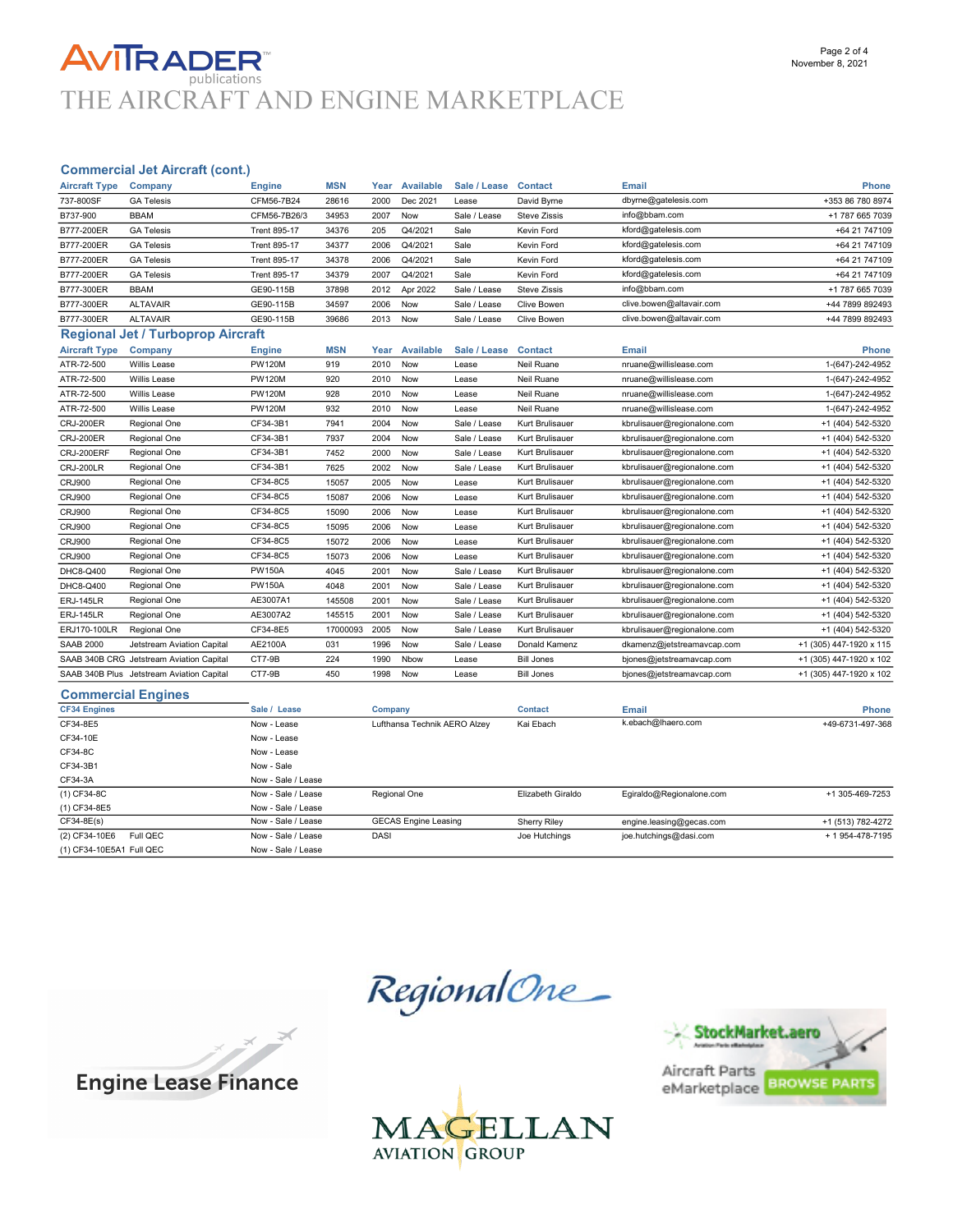### **AVITRADER** publications THE AIRCRAFT AND ENGINE MARKETPLACE

### Commercial Jet Aircraft (cont.)

| <b>Aircraft Type</b>       | Company                                   | <b>Engine</b>       | <b>MSN</b> | Year | <b>Available</b> | Sale / Lease | <b>Contact</b>      | <b>Email</b>                | <b>Phone</b>            |
|----------------------------|-------------------------------------------|---------------------|------------|------|------------------|--------------|---------------------|-----------------------------|-------------------------|
| 737-800SF                  | <b>GA Telesis</b>                         | CFM56-7B24          | 28616      | 2000 | Dec 2021         | Lease        | David Byrne         | dbyrne@gatelesis.com        | +353 86 780 8974        |
| B737-900                   | <b>BBAM</b>                               | CFM56-7B26/3        | 34953      | 2007 | Now              | Sale / Lease | <b>Steve Zissis</b> | info@bbam.com               | +1 787 665 7039         |
| B777-200ER                 | <b>GA Telesis</b>                         | <b>Trent 895-17</b> | 34376      | 205  | Q4/2021          | Sale         | Kevin Ford          | kford@gatelesis.com         | +64 21 747109           |
| B777-200ER                 | <b>GA Telesis</b>                         | <b>Trent 895-17</b> | 34377      | 2006 | Q4/2021          | Sale         | Kevin Ford          | kford@gatelesis.com         | +64 21 747109           |
| B777-200ER                 | <b>GA Telesis</b>                         | <b>Trent 895-17</b> | 34378      | 2006 | Q4/2021          | Sale         | Kevin Ford          | kford@gatelesis.com         | +64 21 747109           |
| B777-200ER                 | <b>GA Telesis</b>                         | <b>Trent 895-17</b> | 34379      | 2007 | Q4/2021          | Sale         | Kevin Ford          | kford@gatelesis.com         | +64 21 747109           |
| B777-300ER                 | <b>BBAM</b>                               | GE90-115B           | 37898      | 2012 | Apr 2022         | Sale / Lease | <b>Steve Zissis</b> | info@bbam.com               | +1 787 665 7039         |
| B777-300ER                 | <b>ALTAVAIR</b>                           | GE90-115B           | 34597      | 2006 | Now              | Sale / Lease | Clive Bowen         | clive.bowen@altavair.com    | +44 7899 892493         |
| B777-300ER                 | <b>ALTAVAIR</b>                           | GE90-115B           | 39686      | 2013 | Now              | Sale / Lease | Clive Bowen         | clive.bowen@altavair.com    | +44 7899 892493         |
|                            | <b>Regional Jet / Turboprop Aircraft</b>  |                     |            |      |                  |              |                     |                             |                         |
| <b>Aircraft Type</b>       | Company                                   | Engine              | <b>MSN</b> | Year | Available        | Sale / Lease | <b>Contact</b>      | <b>Email</b>                | <b>Phone</b>            |
| ATR-72-500                 | Willis Lease                              | <b>PW120M</b>       | 919        | 2010 | Now              | Lease        | Neil Ruane          | nruane@willislease.com      | 1-(647)-242-4952        |
| ATR-72-500                 | Willis Lease                              | <b>PW120M</b>       | 920        | 2010 | Now              | Lease        | Neil Ruane          | nruane@willislease.com      | 1-(647)-242-4952        |
| ATR-72-500                 | Willis Lease                              | <b>PW120M</b>       | 928        | 2010 | Now              | Lease        | Neil Ruane          | nruane@willislease.com      | 1-(647)-242-4952        |
| ATR-72-500                 | Willis Lease                              | <b>PW120M</b>       | 932        | 2010 | Now              | Lease        | Neil Ruane          | nruane@willislease.com      | 1-(647)-242-4952        |
| <b>CRJ-200ER</b>           | Regional One                              | CF34-3B1            | 7941       | 2004 | Now              | Sale / Lease | Kurt Brulisauer     | kbrulisauer@regionalone.com | +1 (404) 542-5320       |
| <b>CRJ-200ER</b>           | Regional One                              | CF34-3B1            | 7937       | 2004 | Now              | Sale / Lease | Kurt Brulisauer     | kbrulisauer@regionalone.com | +1 (404) 542-5320       |
| CRJ-200ERF                 | Regional One                              | CF34-3B1            | 7452       | 2000 | Now              | Sale / Lease | Kurt Brulisauer     | kbrulisauer@regionalone.com | +1 (404) 542-5320       |
| <b>CRJ-200LR</b>           | Regional One                              | CF34-3B1            | 7625       | 2002 | Now              | Sale / Lease | Kurt Brulisauer     | kbrulisauer@regionalone.com | +1 (404) 542-5320       |
| <b>CRJ900</b>              | Regional One                              | CF34-8C5            | 15057      | 2005 | Now              | Lease        | Kurt Brulisauer     | kbrulisauer@regionalone.com | +1 (404) 542-5320       |
| <b>CRJ900</b>              | Regional One                              | CF34-8C5            | 15087      | 2006 | Now              | Lease        | Kurt Brulisauer     | kbrulisauer@regionalone.com | +1 (404) 542-5320       |
| <b>CRJ900</b>              | Regional One                              | CF34-8C5            | 15090      | 2006 | Now              | Lease        | Kurt Brulisauer     | kbrulisauer@regionalone.com | +1 (404) 542-5320       |
| <b>CRJ900</b>              | Regional One                              | CF34-8C5            | 15095      | 2006 | Now              | Lease        | Kurt Brulisauer     | kbrulisauer@regionalone.com | +1 (404) 542-5320       |
| <b>CRJ900</b>              | Regional One                              | CF34-8C5            | 15072      | 2006 | Now              | Lease        | Kurt Brulisauer     | kbrulisauer@regionalone.com | +1 (404) 542-5320       |
| <b>CRJ900</b>              | Regional One                              | CF34-8C5            | 15073      | 2006 | Now              | Lease        | Kurt Brulisauer     | kbrulisauer@regionalone.com | +1 (404) 542-5320       |
| DHC8-Q400                  | Regional One                              | <b>PW150A</b>       | 4045       | 2001 | Now              | Sale / Lease | Kurt Brulisauer     | kbrulisauer@regionalone.com | +1 (404) 542-5320       |
| DHC8-Q400                  | Regional One                              | <b>PW150A</b>       | 4048       | 2001 | Now              | Sale / Lease | Kurt Brulisauer     | kbrulisauer@regionalone.com | +1 (404) 542-5320       |
| <b>ERJ-145LR</b>           | Regional One                              | AE3007A1            | 145508     | 2001 | Now              | Sale / Lease | Kurt Brulisauer     | kbrulisauer@regionalone.com | +1 (404) 542-5320       |
| <b>ERJ-145LR</b>           | Regional One                              | AE3007A2            | 145515     | 2001 | Now              | Sale / Lease | Kurt Brulisauer     | kbrulisauer@regionalone.com | +1 (404) 542-5320       |
| ERJ170-100LR               | Regional One                              | CF34-8E5            | 17000093   | 2005 | Now              | Sale / Lease | Kurt Brulisauer     | kbrulisauer@regionalone.com | +1 (404) 542-5320       |
| <b>SAAB 2000</b>           | Jetstream Aviation Capital                | AE2100A             | 031        | 1996 | Now              | Sale / Lease | Donald Kamenz       | dkamenz@jetstreamavcap.com  | +1 (305) 447-1920 x 115 |
|                            | SAAB 340B CRG Jetstream Aviation Capital  | CT7-9B              | 224        | 1990 | Nbow             | Lease        | <b>Bill Jones</b>   | bjones@jetstreamavcap.com   | +1 (305) 447-1920 x 102 |
|                            | SAAB 340B Plus Jetstream Aviation Capital | CT7-9B              | 450        | 1998 | Now              | Lease        | <b>Bill Jones</b>   | bjones@jetstreamavcap.com   | +1 (305) 447-1920 x 102 |
| Oranger and the French and |                                           |                     |            |      |                  |              |                     |                             |                         |

#### Commercial Engines

| $\sim$                    |                    |                              |                     |                          |                   |
|---------------------------|--------------------|------------------------------|---------------------|--------------------------|-------------------|
| <b>CF34 Engines</b>       | Sale / Lease       | Company                      | <b>Contact</b>      | Email                    | <b>Phone</b>      |
| CF34-8E5                  | Now - Lease        | Lufthansa Technik AERO Alzey | Kai Ebach           | k.ebach@lhaero.com       | +49-6731-497-368  |
| CF34-10E                  | Now - Lease        |                              |                     |                          |                   |
| CF34-8C                   | Now - Lease        |                              |                     |                          |                   |
| CF34-3B1                  | Now - Sale         |                              |                     |                          |                   |
| CF34-3A                   | Now - Sale / Lease |                              |                     |                          |                   |
| (1) CF34-8C               | Now - Sale / Lease | Regional One                 | Elizabeth Giraldo   | Egiraldo@Regionalone.com | +1 305-469-7253   |
| (1) CF34-8E5              | Now - Sale / Lease |                              |                     |                          |                   |
| $CF34-8E(s)$              | Now - Sale / Lease | <b>GECAS Engine Leasing</b>  | <b>Sherry Rilev</b> | engine.leasing@gecas.com | +1 (513) 782-4272 |
| (2) CF34-10E6<br>Full QEC | Now - Sale / Lease | <b>DASI</b>                  | Joe Hutchings       | joe.hutchings@dasi.com   | + 1 954-478-7195  |
| (1) CF34-10E5A1 Full QEC  | Now - Sale / Lease |                              |                     |                          |                   |

RegionalOne\_





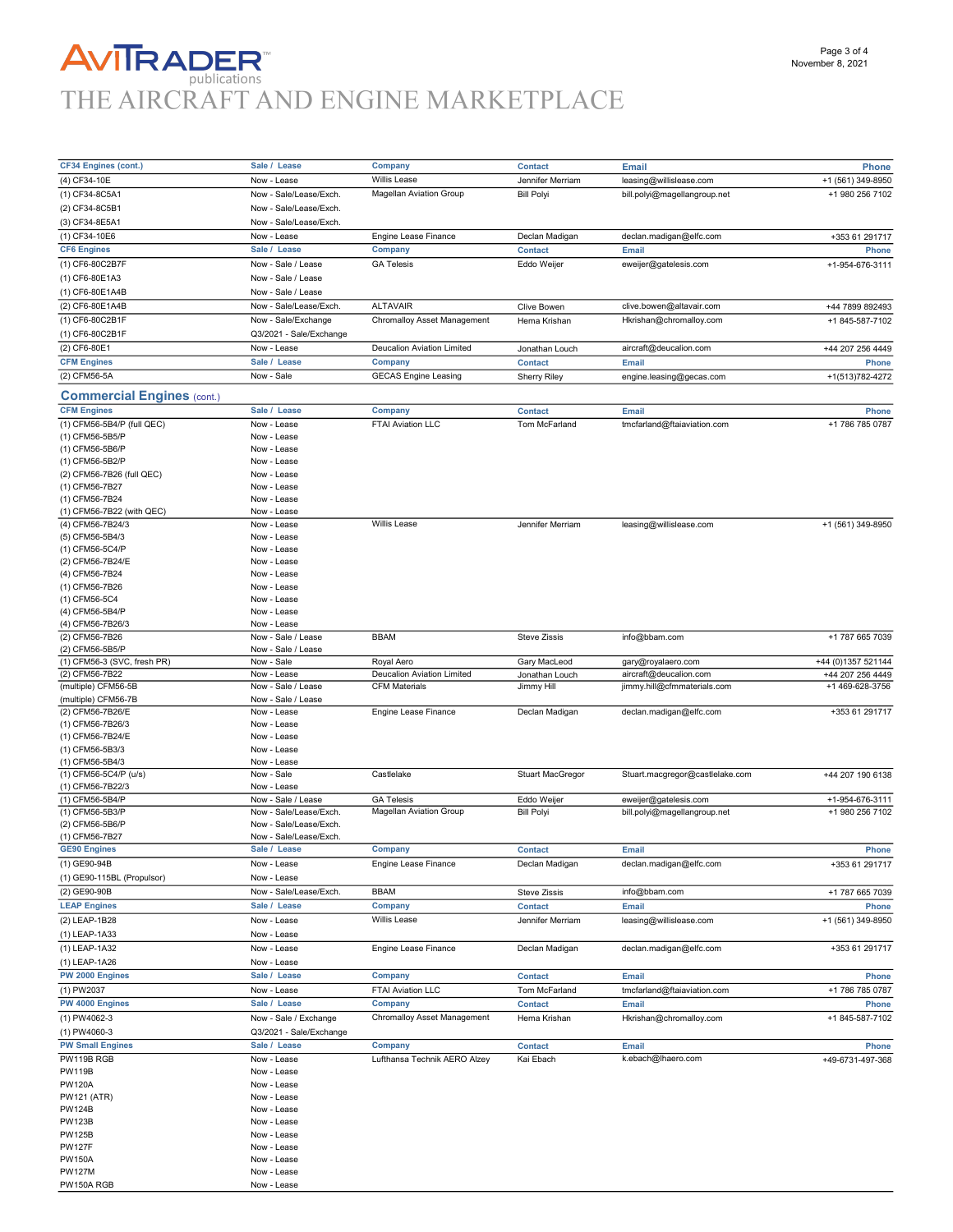## **AVITRADER**<br>THE AIRCRAFT AND ENGINE MARKETPLACE

Page 3 of 4

| <b>CF34 Engines (cont.)</b>       | Sale / Lease            |                                |                         |                                 |                    |
|-----------------------------------|-------------------------|--------------------------------|-------------------------|---------------------------------|--------------------|
|                                   |                         | Company                        | <b>Contact</b>          | Email                           | Phone              |
| (4) CF34-10E                      | Now - Lease             | <b>Willis Lease</b>            | Jennifer Merriam        | leasing@willislease.com         | +1 (561) 349-8950  |
| (1) CF34-8C5A1                    | Now - Sale/Lease/Exch.  | Magellan Aviation Group        | <b>Bill Polyi</b>       | bill.polyi@magellangroup.net    | +1 980 256 7102    |
| (2) CF34-8C5B1                    | Now - Sale/Lease/Exch.  |                                |                         |                                 |                    |
|                                   |                         |                                |                         |                                 |                    |
| (3) CF34-8E5A1                    | Now - Sale/Lease/Exch.  |                                |                         |                                 |                    |
| (1) CF34-10E6                     | Now - Lease             | Engine Lease Finance           | Declan Madigan          | declan.madigan@elfc.com         | +353 61 291717     |
| <b>CF6 Engines</b>                | Sale /<br>Lease         | Company                        | <b>Contact</b>          | Email                           | Phone              |
| (1) CF6-80C2B7F                   | Now - Sale / Lease      | <b>GA Telesis</b>              | Eddo Weijer             | eweijer@gatelesis.com           | +1-954-676-3111    |
|                                   |                         |                                |                         |                                 |                    |
| (1) CF6-80E1A3                    | Now - Sale / Lease      |                                |                         |                                 |                    |
| (1) CF6-80E1A4B                   | Now - Sale / Lease      |                                |                         |                                 |                    |
| (2) CF6-80E1A4B                   | Now - Sale/Lease/Exch.  | <b>ALTAVAIR</b>                | Clive Bowen             | clive.bowen@altavair.com        | +44 7899 892493    |
| (1) CF6-80C2B1F                   | Now - Sale/Exchange     | Chromalloy Asset Management    | Hema Krishan            | Hkrishan@chromalloy.com         | +1 845-587-7102    |
|                                   |                         |                                |                         |                                 |                    |
| (1) CF6-80C2B1F                   | Q3/2021 - Sale/Exchange |                                |                         |                                 |                    |
| (2) CF6-80E1                      | Now - Lease             | Deucalion Aviation Limited     | Jonathan Louch          | aircraft@deucalion.com          | +44 207 256 4449   |
| <b>CFM Engines</b>                | Sale / Lease            | Company                        | <b>Contact</b>          | Email                           | Phone              |
| (2) CFM56-5A                      | Now - Sale              | <b>GECAS Engine Leasing</b>    | <b>Sherry Riley</b>     | engine.leasing@gecas.com        | +1(513)782-4272    |
|                                   |                         |                                |                         |                                 |                    |
| <b>Commercial Engines (cont.)</b> |                         |                                |                         |                                 |                    |
| <b>CFM Engines</b>                | Sale / Lease            | Company                        | <b>Contact</b>          | Email                           | Phone              |
| (1) CFM56-5B4/P (full QEC)        | Now - Lease             | FTAI Aviation LLC              | Tom McFarland           | tmcfarland@ftaiaviation.com     | +1 786 785 0787    |
|                                   |                         |                                |                         |                                 |                    |
| (1) CFM56-5B5/P                   | Now - Lease             |                                |                         |                                 |                    |
| (1) CFM56-5B6/P                   | Now - Lease             |                                |                         |                                 |                    |
| (1) CFM56-5B2/P                   | Now - Lease             |                                |                         |                                 |                    |
| (2) CFM56-7B26 (full QEC)         | Now - Lease             |                                |                         |                                 |                    |
| (1) CFM56-7B27                    |                         |                                |                         |                                 |                    |
|                                   | Now - Lease             |                                |                         |                                 |                    |
| (1) CFM56-7B24                    | Now - Lease             |                                |                         |                                 |                    |
| (1) CFM56-7B22 (with QEC)         | Now - Lease             |                                |                         |                                 |                    |
| (4) CFM56-7B24/3                  | Now - Lease             | Willis Lease                   | Jennifer Merriam        | leasing@willislease.com         | +1 (561) 349-8950  |
| (5) CFM56-5B4/3                   | Now - Lease             |                                |                         |                                 |                    |
| (1) CFM56-5C4/P                   | Now - Lease             |                                |                         |                                 |                    |
|                                   |                         |                                |                         |                                 |                    |
| (2) CFM56-7B24/E                  | Now - Lease             |                                |                         |                                 |                    |
| (4) CFM56-7B24                    | Now - Lease             |                                |                         |                                 |                    |
| (1) CFM56-7B26                    | Now - Lease             |                                |                         |                                 |                    |
| (1) CFM56-5C4                     | Now - Lease             |                                |                         |                                 |                    |
| (4) CFM56-5B4/P                   | Now - Lease             |                                |                         |                                 |                    |
|                                   |                         |                                |                         |                                 |                    |
| (4) CFM56-7B26/3                  | Now - Lease             |                                |                         |                                 |                    |
| (2) CFM56-7B26                    | Now - Sale / Lease      | <b>BBAM</b>                    | <b>Steve Zissis</b>     | info@bbam.com                   | +1 787 665 7039    |
| (2) CFM56-5B5/P                   | Now - Sale / Lease      |                                |                         |                                 |                    |
| (1) CFM56-3 (SVC, fresh PR)       | Now - Sale              | Royal Aero                     | Gary MacLeod            | gary@royalaero.com              | +44 (0)1357 521144 |
| (2) CFM56-7B22                    | Now - Lease             | Deucalion Aviation Limited     | Jonathan Louch          | aircraft@deucalion.com          | +44 207 256 4449   |
| (multiple) CFM56-5B               | Now - Sale / Lease      | <b>CFM Materials</b>           | Jimmy Hill              | jimmy.hill@cfmmaterials.com     | +1 469-628-3756    |
| (multiple) CFM56-7B               | Now - Sale / Lease      |                                |                         |                                 |                    |
|                                   |                         |                                |                         |                                 |                    |
| (2) CFM56-7B26/E                  | Now - Lease             | Engine Lease Finance           | Declan Madigan          | declan.madigan@elfc.com         | +353 61 291717     |
| (1) CFM56-7B26/3                  | Now - Lease             |                                |                         |                                 |                    |
| (1) CFM56-7B24/E                  | Now - Lease             |                                |                         |                                 |                    |
| (1) CFM56-5B3/3                   | Now - Lease             |                                |                         |                                 |                    |
| (1) CFM56-5B4/3                   | Now - Lease             |                                |                         |                                 |                    |
|                                   | Now - Sale              | Castlelake                     |                         |                                 | +44 207 190 6138   |
| (1) CFM56-5C4/P (u/s)             |                         |                                | <b>Stuart MacGregor</b> | Stuart.macgregor@castlelake.com |                    |
| (1) CFM56-7B22/3                  | Now - Lease             |                                |                         |                                 |                    |
| (1) CFM56-5B4/P                   | Now - Sale / Lease      | <b>GA Telesis</b>              | Eddo Weijer             | eweijer@gatelesis.com           | +1-954-676-3111    |
| (1) CFM56-5B3/P                   | Now - Sale/Lease/Exch.  | <b>Magellan Aviation Group</b> | <b>Bill Polyi</b>       | bill.polyi@magellangroup.net    | +1 980 256 7102    |
| (2) CFM56-5B6/P                   | Now - Sale/Lease/Exch.  |                                |                         |                                 |                    |
| (1) CFM56-7B27                    | Now - Sale/Lease/Exch.  |                                |                         |                                 |                    |
|                                   |                         |                                |                         |                                 |                    |
| <b>GE90 Engines</b>               | Sale / Lease            | Company                        | <b>Contact</b>          | Email                           | Phone              |
| (1) GE90-94B                      | Now - Lease             | Engine Lease Finance           | Declan Madigan          | declan.madigan@elfc.com         | +353 61 291717     |
| (1) GE90-115BL (Propulsor)        | Now - Lease             |                                |                         |                                 |                    |
| (2) GE90-90B                      | Now - Sale/Lease/Exch.  | <b>BBAM</b>                    | <b>Steve Zissis</b>     | info@bbam.com                   | +1 787 665 7039    |
|                                   |                         |                                |                         |                                 |                    |
| <b>LEAP Engines</b>               | Sale / Lease            | Company                        | <b>Contact</b>          | Email                           | Phone              |
| (2) LEAP-1B28                     | Now - Lease             | Willis Lease                   | Jennifer Merriam        | leasing@willislease.com         | +1 (561) 349-8950  |
| (1) LEAP-1A33                     | Now - Lease             |                                |                         |                                 |                    |
|                                   |                         |                                |                         |                                 |                    |
| (1) LEAP-1A32                     | Now - Lease             | Engine Lease Finance           | Declan Madigan          | declan.madigan@elfc.com         | +353 61 291717     |
| (1) LEAP-1A26                     | Now - Lease             |                                |                         |                                 |                    |
| PW 2000 Engines                   | Sale / Lease            | Company                        | <b>Contact</b>          | Email                           | Phone              |
|                                   |                         |                                |                         |                                 |                    |
| (1) PW2037                        | Now - Lease             | FTAI Aviation LLC              | Tom McFarland           | tmcfarland@ftaiaviation.com     | +1 786 785 0787    |
| PW 4000 Engines                   | Sale / Lease            | Company                        | <b>Contact</b>          | Email                           | Phone              |
| (1) PW4062-3                      | Now - Sale / Exchange   | Chromalloy Asset Management    | Hema Krishan            | Hkrishan@chromalloy.com         | +1 845-587-7102    |
|                                   |                         |                                |                         |                                 |                    |
| (1) PW4060-3                      | Q3/2021 - Sale/Exchange |                                |                         |                                 |                    |
| <b>PW Small Engines</b>           | Sale / Lease            | <b>Company</b>                 | <b>Contact</b>          | Email                           | Phone              |
| PW119B RGB                        | Now - Lease             | Lufthansa Technik AERO Alzey   | Kai Ebach               | k.ebach@lhaero.com              | +49-6731-497-368   |
| <b>PW119B</b>                     |                         |                                |                         |                                 |                    |
|                                   | Now - Lease             |                                |                         |                                 |                    |
| <b>PW120A</b>                     | Now - Lease             |                                |                         |                                 |                    |
| <b>PW121 (ATR)</b>                | Now - Lease             |                                |                         |                                 |                    |
| <b>PW124B</b>                     | Now - Lease             |                                |                         |                                 |                    |
| <b>PW123B</b>                     | Now - Lease             |                                |                         |                                 |                    |
| <b>PW125B</b>                     | Now - Lease             |                                |                         |                                 |                    |
|                                   |                         |                                |                         |                                 |                    |
| <b>PW127F</b>                     | Now - Lease             |                                |                         |                                 |                    |
| <b>PW150A</b>                     | Now - Lease             |                                |                         |                                 |                    |
| <b>PW127M</b>                     | Now - Lease             |                                |                         |                                 |                    |
| PW150A RGB                        | Now - Lease             |                                |                         |                                 |                    |